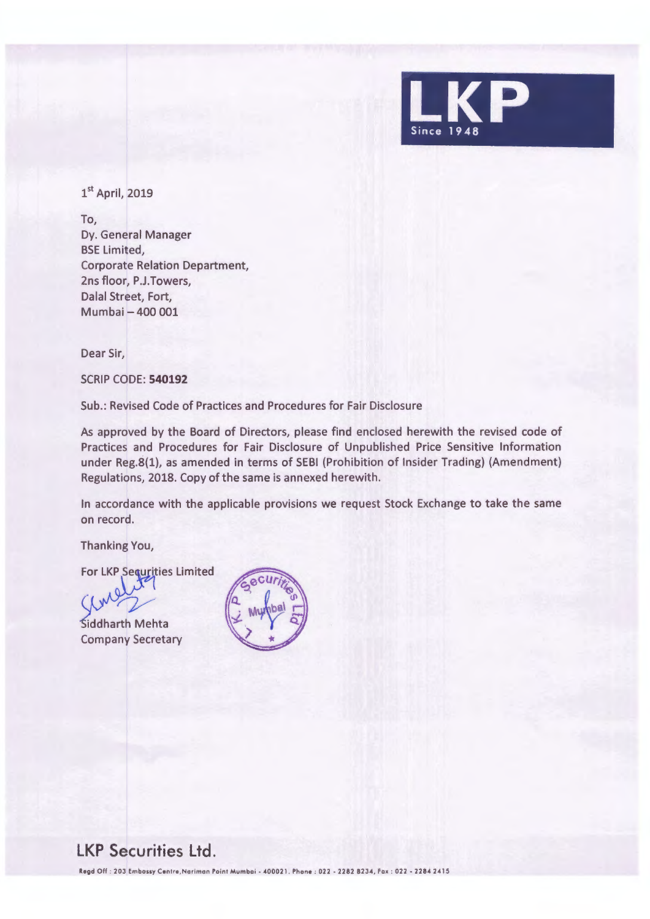

1st April, 2019

To, Dy. General Manager BSE Limited, Corporate Relation Department, 2ns floor, P.J.Towers, Dalal Street, Fort, Mumbai - 400 001

Dear Sir,

SCRIP CODE: **540192** 

Sub.: Revised Code of Practices and Procedures for Fair Disclosure

As approved by the Board of Directors, please find enclosed herewith the revised code of Practices and Procedures for Fair Disclosure of Unpublished Price Sensitive Information under Reg.8(1), as amended in terms of SEBI (Prohibition of Insider Trading) (Amendment) Regulations, 2018. Copy of the same is annexed herewith.

In accordance with the applicable provisions we request Stock Exchange to take the same on record.

Thanking You,

For LKP Sequrities Limited

Siddharth Mehta Company Secretary



## **LKP Securities Ltd.**

Regd Off : 203 Embassy Centre, Nariman Point Mumbai - 400021. Phone : 022 - 2282 8234, Fax : 022 - 2284 2415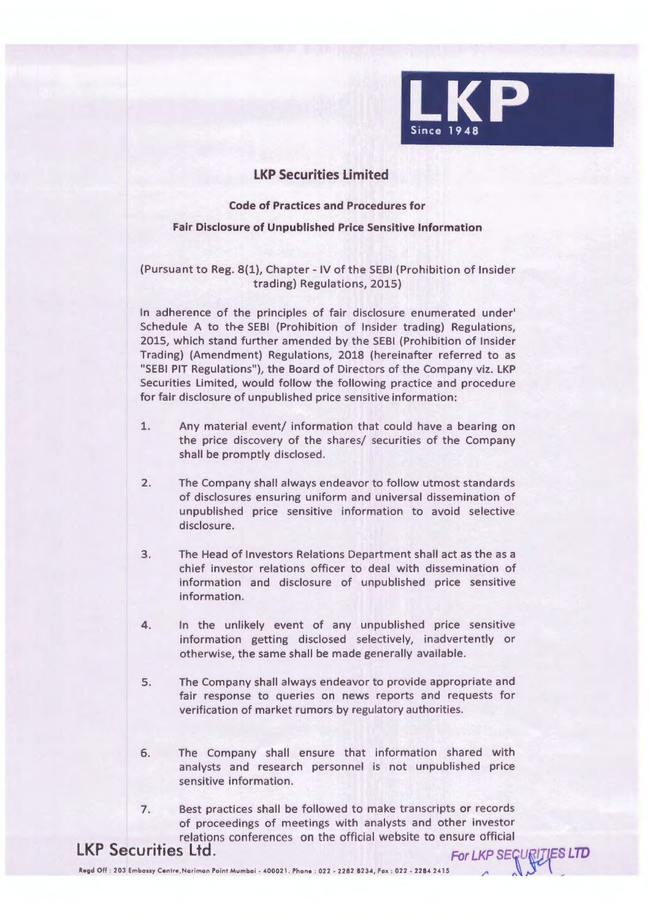

## **LKP Securities Limited**

**Code of Practices and Procedures for** 

## **Fair Disclosure of Unpublished Price Sensitive Information**

(Pursuant to Reg. 8(1), Chapter - IV of the SEBI (Prohibition of Insider trading) Regulations, 2015)

In adherence of the principles of fair disclosure enumerated under' Schedule A to the SEBI (Prohibition of Insider trading) Regulations, 2015, which stand further amended by the SEBI (Prohibition of Insider Trading) (Amendment) Regulations, 2018 (hereinafter referred to as "SEBI PIT Regulations"), the Board of Directors of the Company viz. LKP Securities Limited, would follow the following practice and procedure for fair disclosure of unpublished price sensitive information:

- 1. Any material event/ information that could have a bearing on the price discovery of the shares/ securities of the Company shall be promptly disclosed.
- 2. The Company shall always endeavor to follow utmost standards of disclosures ensuring uniform and universal dissemination of unpublished price sensitive information to avoid selective disclosure.
- 3. The Head of Investors Relations Department shall act as the as a chief investor relations officer to deal with dissemination of information and disclosure of unpublished price sensitive information.
- 4. In the unlikely event of any unpublished price sensitive information getting disclosed selectively, inadvertently or otherwise, the same shall be made generally available.
- 5. The Company shall always endeavor to provide appropriate and fair response to queries on news reports and requests for verification of market rumors by regulatory authorities.
- 6. The Company shall ensure that information shared with analysts and research personnel is not unpublished price sensitive information.
- 7. Best practices shall be followed to make transcripts or records of proceedings of meetings with analysts and other investor relations conferences on the official website to ensure official<br>LKP Securities Ltd.

 $~\blacksquare$   $~\blacksquare$   $~\blacksquare$   $~\blacksquare$   $~\blacksquare$   $~\blacksquare$   $~\blacksquare$   $~\blacksquare$   $~\blacksquare$   $~\blacksquare$   $~\blacksquare$   $~\blacksquare$   $~\blacksquare$   $~\blacksquare$   $~\blacksquare$   $~\blacksquare$   $~\blacksquare$   $~\blacksquare$   $~\blacksquare$   $~\blacksquare$   $~\blacksquare$   $~\blacksquare$   $~\blacksquare$   $~\blacksquare$   $~\blacksquare$   $~\blacksquare$   $~\blacksquare$   $~\blacksquare$